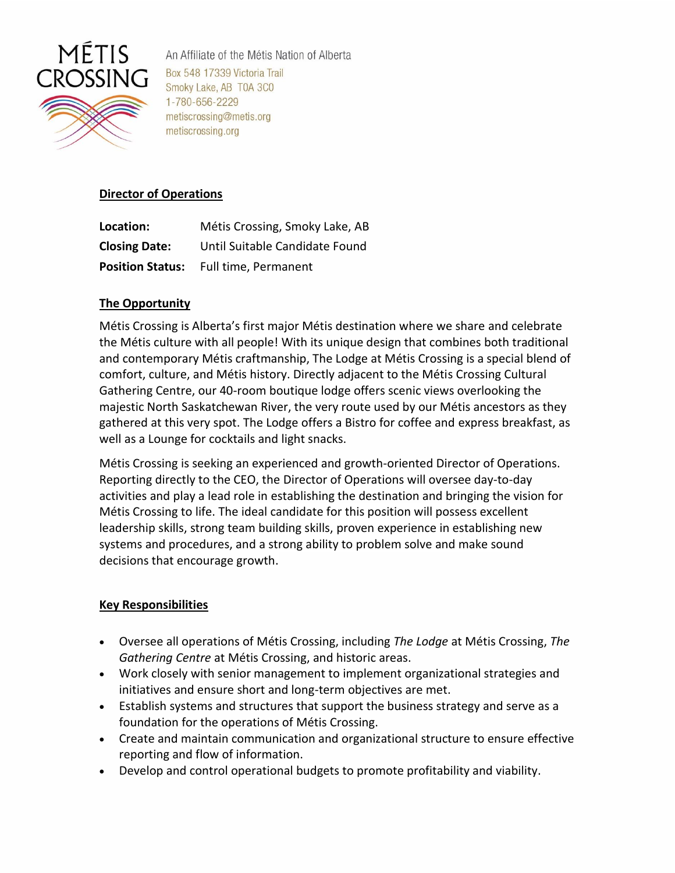

An Affiliate of the Métis Nation of Alberta Box 548 17339 Victoria Trail Smoky Lake, AB T0A 3C0 1-780-656-2229 metiscrossing@metis.org metiscrossing.org

# **Director of Operations**

| Location:            | Métis Crossing, Smoky Lake, AB               |
|----------------------|----------------------------------------------|
| <b>Closing Date:</b> | Until Suitable Candidate Found               |
|                      | <b>Position Status:</b> Full time, Permanent |

## **The Opportunity**

Métis Crossing is Alberta's first major Métis destination where we share and celebrate the Métis culture with all people! With its unique design that combines both traditional and contemporary Métis craftmanship, The Lodge at Métis Crossing is a special blend of comfort, culture, and Métis history. Directly adjacent to the Métis Crossing Cultural Gathering Centre, our 40-room boutique lodge offers scenic views overlooking the majestic North Saskatchewan River, the very route used by our Métis ancestors as they gathered at this very spot. The Lodge offers a Bistro for coffee and express breakfast, as well as a Lounge for cocktails and light snacks.

Métis Crossing is seeking an experienced and growth-oriented Director of Operations. Reporting directly to the CEO, the Director of Operations will oversee day-to-day activities and play a lead role in establishing the destination and bringing the vision for Métis Crossing to life. The ideal candidate for this position will possess excellent leadership skills, strong team building skills, proven experience in establishing new systems and procedures, and a strong ability to problem solve and make sound decisions that encourage growth.

## **Key Responsibilities**

- Oversee all operations of Métis Crossing, including *The Lodge* at Métis Crossing, *The Gathering Centre* at Métis Crossing, and historic areas.
- Work closely with senior management to implement organizational strategies and initiatives and ensure short and long-term objectives are met.
- Establish systems and structures that support the business strategy and serve as a foundation for the operations of Métis Crossing.
- Create and maintain communication and organizational structure to ensure effective reporting and flow of information.
- Develop and control operational budgets to promote profitability and viability.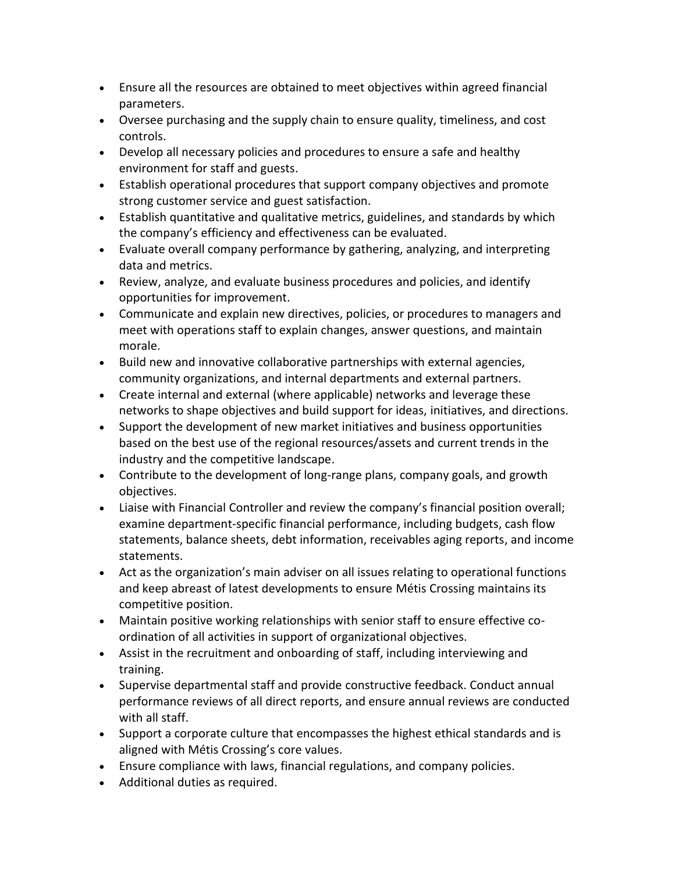- Ensure all the resources are obtained to meet objectives within agreed financial parameters.
- Oversee purchasing and the supply chain to ensure quality, timeliness, and cost controls.
- Develop all necessary policies and procedures to ensure a safe and healthy environment for staff and guests.
- Establish operational procedures that support company objectives and promote strong customer service and guest satisfaction.
- Establish quantitative and qualitative metrics, guidelines, and standards by which the company's efficiency and effectiveness can be evaluated.
- Evaluate overall company performance by gathering, analyzing, and interpreting data and metrics.
- Review, analyze, and evaluate business procedures and policies, and identify opportunities for improvement.
- Communicate and explain new directives, policies, or procedures to managers and meet with operations staff to explain changes, answer questions, and maintain morale.
- Build new and innovative collaborative partnerships with external agencies, community organizations, and internal departments and external partners.
- Create internal and external (where applicable) networks and leverage these networks to shape objectives and build support for ideas, initiatives, and directions.
- Support the development of new market initiatives and business opportunities based on the best use of the regional resources/assets and current trends in the industry and the competitive landscape.
- Contribute to the development of long-range plans, company goals, and growth objectives.
- Liaise with Financial Controller and review the company's financial position overall; examine department-specific financial performance, including budgets, cash flow statements, balance sheets, debt information, receivables aging reports, and income statements.
- Act as the organization's main adviser on all issues relating to operational functions and keep abreast of latest developments to ensure Métis Crossing maintains its competitive position.
- Maintain positive working relationships with senior staff to ensure effective coordination of all activities in support of organizational objectives.
- Assist in the recruitment and onboarding of staff, including interviewing and training.
- Supervise departmental staff and provide constructive feedback. Conduct annual performance reviews of all direct reports, and ensure annual reviews are conducted with all staff.
- Support a corporate culture that encompasses the highest ethical standards and is aligned with Métis Crossing's core values.
- Ensure compliance with laws, financial regulations, and company policies.
- Additional duties as required.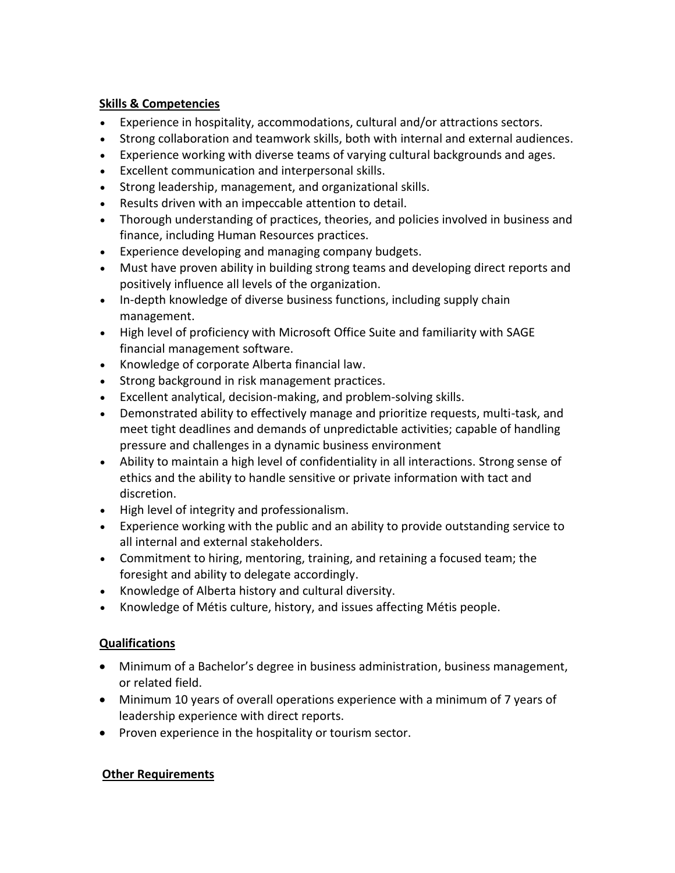# **Skills & Competencies**

- Experience in hospitality, accommodations, cultural and/or attractions sectors.
- Strong collaboration and teamwork skills, both with internal and external audiences.
- Experience working with diverse teams of varying cultural backgrounds and ages.
- Excellent communication and interpersonal skills.
- Strong leadership, management, and organizational skills.
- Results driven with an impeccable attention to detail.
- Thorough understanding of practices, theories, and policies involved in business and finance, including Human Resources practices.
- Experience developing and managing company budgets.
- Must have proven ability in building strong teams and developing direct reports and positively influence all levels of the organization.
- In-depth knowledge of diverse business functions, including supply chain management.
- High level of proficiency with Microsoft Office Suite and familiarity with SAGE financial management software.
- Knowledge of corporate Alberta financial law.
- Strong background in risk management practices.
- Excellent analytical, decision-making, and problem-solving skills.
- Demonstrated ability to effectively manage and prioritize requests, multi-task, and meet tight deadlines and demands of unpredictable activities; capable of handling pressure and challenges in a dynamic business environment
- Ability to maintain a high level of confidentiality in all interactions. Strong sense of ethics and the ability to handle sensitive or private information with tact and discretion.
- High level of integrity and professionalism.
- Experience working with the public and an ability to provide outstanding service to all internal and external stakeholders.
- Commitment to hiring, mentoring, training, and retaining a focused team; the foresight and ability to delegate accordingly.
- Knowledge of Alberta history and cultural diversity.
- Knowledge of Métis culture, history, and issues affecting Métis people.

## **Qualifications**

- Minimum of a Bachelor's degree in business administration, business management, or related field.
- Minimum 10 years of overall operations experience with a minimum of 7 years of leadership experience with direct reports.
- Proven experience in the hospitality or tourism sector.

## **Other Requirements**